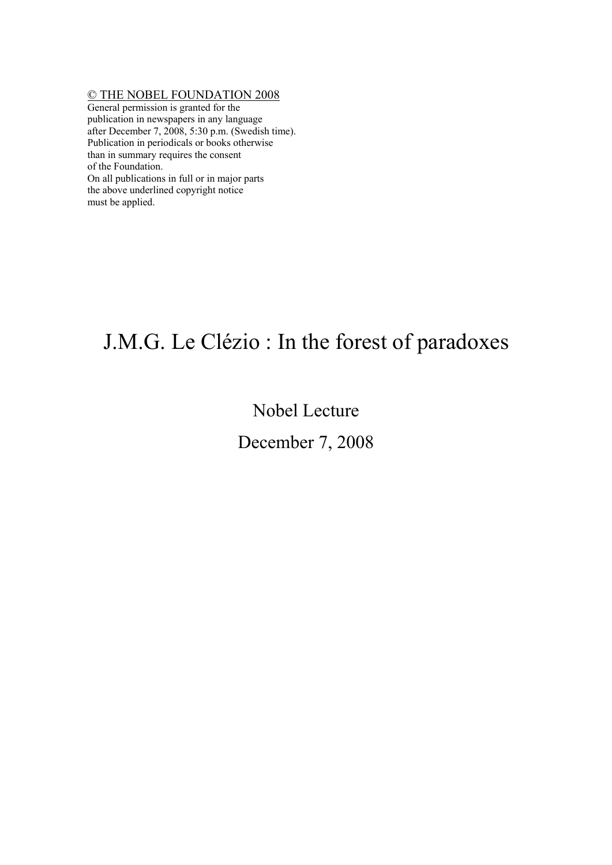## © THE NOBEL FOUNDATION 2008

General permission is granted for the publication in newspapers in any language after December 7, 2008, 5:30 p.m. (Swedish time). Publication in periodicals or books otherwise than in summary requires the consent of the Foundation. On all publications in full or in major parts the above underlined copyright notice

must be applied.

## J.M.G. Le Clézio : In the forest of paradoxes

## Nobel Lecture

## December 7, 2008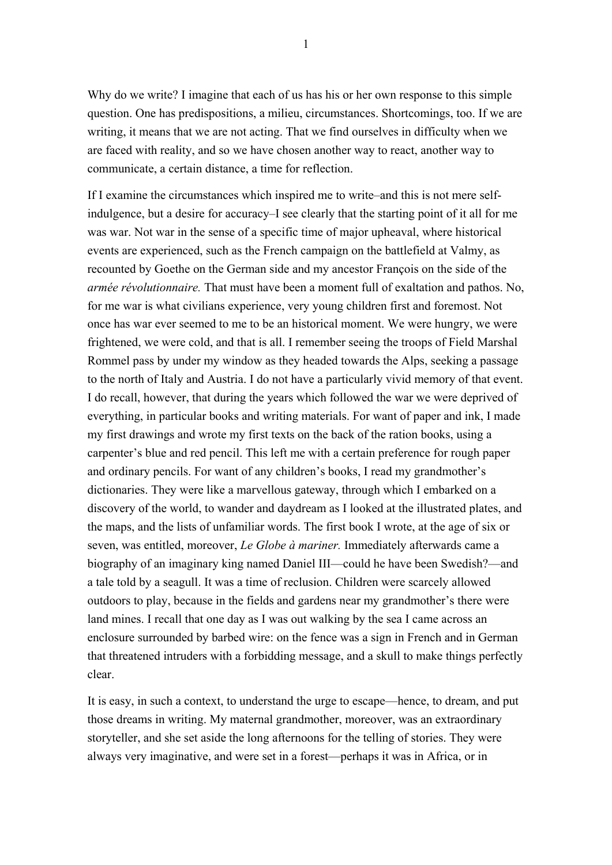Why do we write? I imagine that each of us has his or her own response to this simple question. One has predispositions, a milieu, circumstances. Shortcomings, too. If we are writing, it means that we are not acting. That we find ourselves in difficulty when we are faced with reality, and so we have chosen another way to react, another way to communicate, a certain distance, a time for reflection.

If I examine the circumstances which inspired me to write–and this is not mere selfindulgence, but a desire for accuracy–I see clearly that the starting point of it all for me was war. Not war in the sense of a specific time of major upheaval, where historical events are experienced, such as the French campaign on the battlefield at Valmy, as recounted by Goethe on the German side and my ancestor François on the side of the *armée révolutionnaire.* That must have been a moment full of exaltation and pathos. No, for me war is what civilians experience, very young children first and foremost. Not once has war ever seemed to me to be an historical moment. We were hungry, we were frightened, we were cold, and that is all. I remember seeing the troops of Field Marshal Rommel pass by under my window as they headed towards the Alps, seeking a passage to the north of Italy and Austria. I do not have a particularly vivid memory of that event. I do recall, however, that during the years which followed the war we were deprived of everything, in particular books and writing materials. For want of paper and ink, I made my first drawings and wrote my first texts on the back of the ration books, using a carpenter's blue and red pencil. This left me with a certain preference for rough paper and ordinary pencils. For want of any children's books, I read my grandmother's dictionaries. They were like a marvellous gateway, through which I embarked on a discovery of the world, to wander and daydream as I looked at the illustrated plates, and the maps, and the lists of unfamiliar words. The first book I wrote, at the age of six or seven, was entitled, moreover, *Le Globe à mariner.* Immediately afterwards came a biography of an imaginary king named Daniel III—could he have been Swedish?—and a tale told by a seagull. It was a time of reclusion. Children were scarcely allowed outdoors to play, because in the fields and gardens near my grandmother's there were land mines. I recall that one day as I was out walking by the sea I came across an enclosure surrounded by barbed wire: on the fence was a sign in French and in German that threatened intruders with a forbidding message, and a skull to make things perfectly clear.

It is easy, in such a context, to understand the urge to escape—hence, to dream, and put those dreams in writing. My maternal grandmother, moreover, was an extraordinary storyteller, and she set aside the long afternoons for the telling of stories. They were always very imaginative, and were set in a forest—perhaps it was in Africa, or in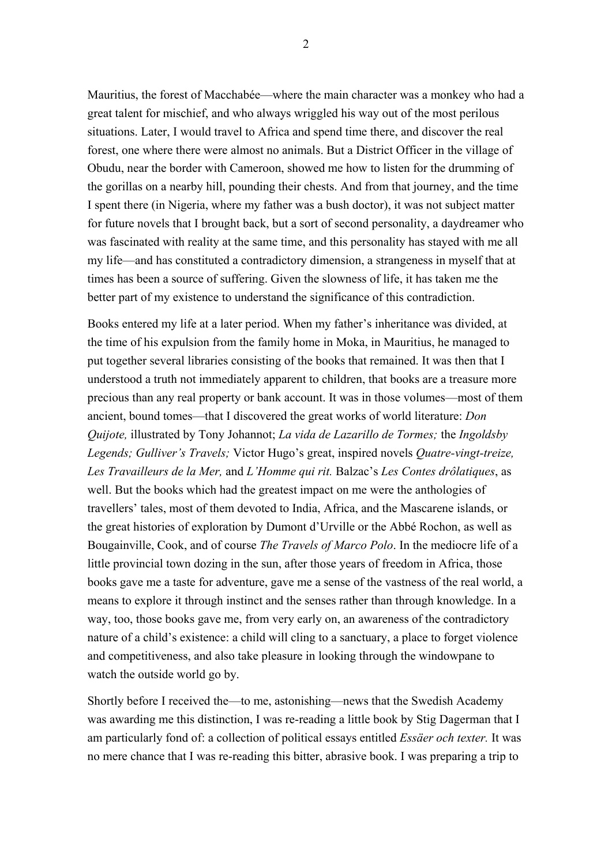Mauritius, the forest of Macchabée—where the main character was a monkey who had a great talent for mischief, and who always wriggled his way out of the most perilous situations. Later, I would travel to Africa and spend time there, and discover the real forest, one where there were almost no animals. But a District Officer in the village of Obudu, near the border with Cameroon, showed me how to listen for the drumming of the gorillas on a nearby hill, pounding their chests. And from that journey, and the time I spent there (in Nigeria, where my father was a bush doctor), it was not subject matter for future novels that I brought back, but a sort of second personality, a daydreamer who was fascinated with reality at the same time, and this personality has stayed with me all my life—and has constituted a contradictory dimension, a strangeness in myself that at times has been a source of suffering. Given the slowness of life, it has taken me the better part of my existence to understand the significance of this contradiction.

Books entered my life at a later period. When my father's inheritance was divided, at the time of his expulsion from the family home in Moka, in Mauritius, he managed to put together several libraries consisting of the books that remained. It was then that I understood a truth not immediately apparent to children, that books are a treasure more precious than any real property or bank account. It was in those volumes—most of them ancient, bound tomes—that I discovered the great works of world literature: *Don Quijote,* illustrated by Tony Johannot; *La vida de Lazarillo de Tormes;* the *Ingoldsby Legends; Gulliver's Travels;* Victor Hugo's great, inspired novels *Quatre-vingt-treize, Les Travailleurs de la Mer,* and *L'Homme qui rit.* Balzac's *Les Contes drôlatiques*, as well. But the books which had the greatest impact on me were the anthologies of travellers' tales, most of them devoted to India, Africa, and the Mascarene islands, or the great histories of exploration by Dumont d'Urville or the Abbé Rochon, as well as Bougainville, Cook, and of course *The Travels of Marco Polo*. In the mediocre life of a little provincial town dozing in the sun, after those years of freedom in Africa, those books gave me a taste for adventure, gave me a sense of the vastness of the real world, a means to explore it through instinct and the senses rather than through knowledge. In a way, too, those books gave me, from very early on, an awareness of the contradictory nature of a child's existence: a child will cling to a sanctuary, a place to forget violence and competitiveness, and also take pleasure in looking through the windowpane to watch the outside world go by.

Shortly before I received the—to me, astonishing—news that the Swedish Academy was awarding me this distinction, I was re-reading a little book by Stig Dagerman that I am particularly fond of: a collection of political essays entitled *Essäer och texter.* It was no mere chance that I was re-reading this bitter, abrasive book. I was preparing a trip to

2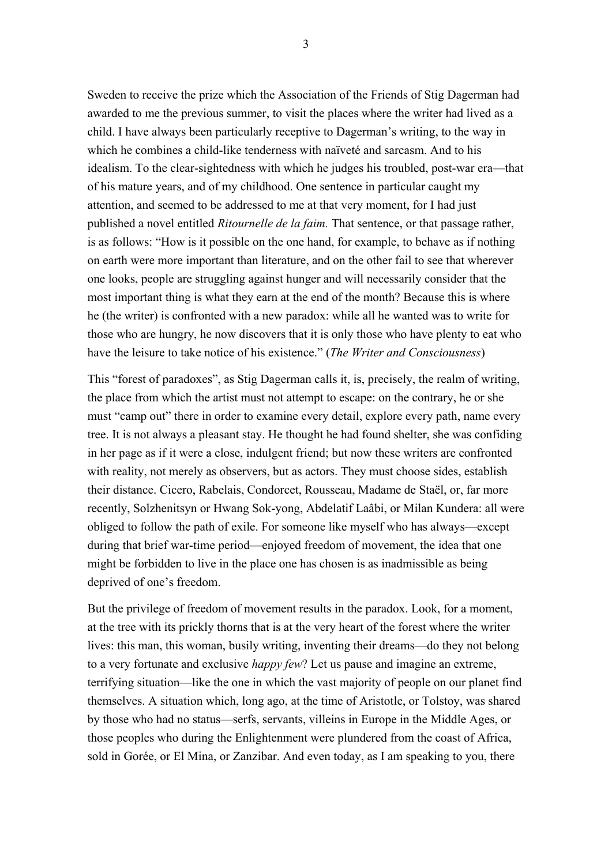Sweden to receive the prize which the Association of the Friends of Stig Dagerman had awarded to me the previous summer, to visit the places where the writer had lived as a child. I have always been particularly receptive to Dagerman's writing, to the way in which he combines a child-like tenderness with naïveté and sarcasm. And to his idealism. To the clear-sightedness with which he judges his troubled, post-war era—that of his mature years, and of my childhood. One sentence in particular caught my attention, and seemed to be addressed to me at that very moment, for I had just published a novel entitled *Ritournelle de la faim.* That sentence, or that passage rather, is as follows: "How is it possible on the one hand, for example, to behave as if nothing on earth were more important than literature, and on the other fail to see that wherever one looks, people are struggling against hunger and will necessarily consider that the most important thing is what they earn at the end of the month? Because this is where he (the writer) is confronted with a new paradox: while all he wanted was to write for those who are hungry, he now discovers that it is only those who have plenty to eat who have the leisure to take notice of his existence." (*The Writer and Consciousness*)

This "forest of paradoxes", as Stig Dagerman calls it, is, precisely, the realm of writing, the place from which the artist must not attempt to escape: on the contrary, he or she must "camp out" there in order to examine every detail, explore every path, name every tree. It is not always a pleasant stay. He thought he had found shelter, she was confiding in her page as if it were a close, indulgent friend; but now these writers are confronted with reality, not merely as observers, but as actors. They must choose sides, establish their distance. Cicero, Rabelais, Condorcet, Rousseau, Madame de Staël, or, far more recently, Solzhenitsyn or Hwang Sok-yong, Abdelatif Laâbi, or Milan Kundera: all were obliged to follow the path of exile. For someone like myself who has always—except during that brief war-time period—enjoyed freedom of movement, the idea that one might be forbidden to live in the place one has chosen is as inadmissible as being deprived of one's freedom.

But the privilege of freedom of movement results in the paradox. Look, for a moment, at the tree with its prickly thorns that is at the very heart of the forest where the writer lives: this man, this woman, busily writing, inventing their dreams—do they not belong to a very fortunate and exclusive *happy few*? Let us pause and imagine an extreme, terrifying situation—like the one in which the vast majority of people on our planet find themselves. A situation which, long ago, at the time of Aristotle, or Tolstoy, was shared by those who had no status—serfs, servants, villeins in Europe in the Middle Ages, or those peoples who during the Enlightenment were plundered from the coast of Africa, sold in Gorée, or El Mina, or Zanzibar. And even today, as I am speaking to you, there

3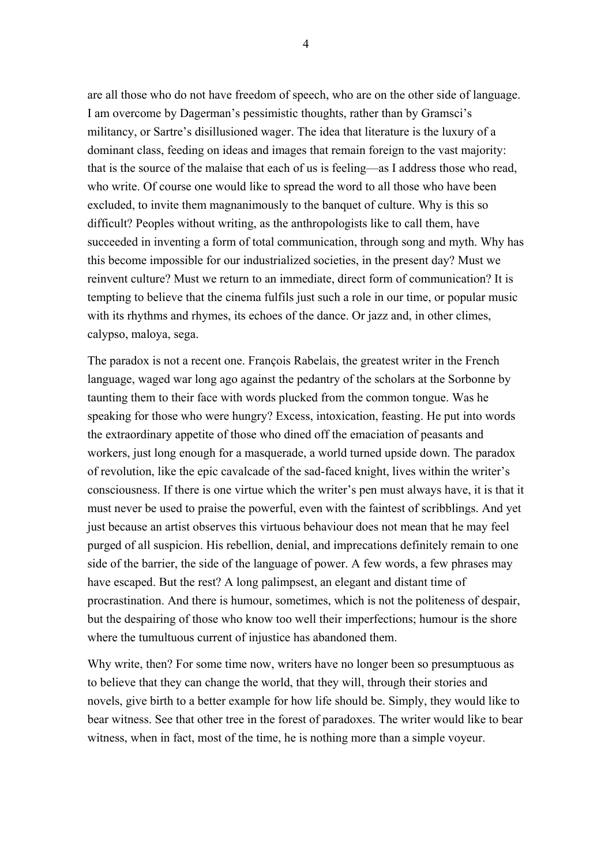are all those who do not have freedom of speech, who are on the other side of language. I am overcome by Dagerman's pessimistic thoughts, rather than by Gramsci's militancy, or Sartre's disillusioned wager. The idea that literature is the luxury of a dominant class, feeding on ideas and images that remain foreign to the vast majority: that is the source of the malaise that each of us is feeling—as I address those who read, who write. Of course one would like to spread the word to all those who have been excluded, to invite them magnanimously to the banquet of culture. Why is this so difficult? Peoples without writing, as the anthropologists like to call them, have succeeded in inventing a form of total communication, through song and myth. Why has this become impossible for our industrialized societies, in the present day? Must we reinvent culture? Must we return to an immediate, direct form of communication? It is tempting to believe that the cinema fulfils just such a role in our time, or popular music with its rhythms and rhymes, its echoes of the dance. Or jazz and, in other climes, calypso, maloya, sega.

The paradox is not a recent one. François Rabelais, the greatest writer in the French language, waged war long ago against the pedantry of the scholars at the Sorbonne by taunting them to their face with words plucked from the common tongue. Was he speaking for those who were hungry? Excess, intoxication, feasting. He put into words the extraordinary appetite of those who dined off the emaciation of peasants and workers, just long enough for a masquerade, a world turned upside down. The paradox of revolution, like the epic cavalcade of the sad-faced knight, lives within the writer's consciousness. If there is one virtue which the writer's pen must always have, it is that it must never be used to praise the powerful, even with the faintest of scribblings. And yet just because an artist observes this virtuous behaviour does not mean that he may feel purged of all suspicion. His rebellion, denial, and imprecations definitely remain to one side of the barrier, the side of the language of power. A few words, a few phrases may have escaped. But the rest? A long palimpsest, an elegant and distant time of procrastination. And there is humour, sometimes, which is not the politeness of despair, but the despairing of those who know too well their imperfections; humour is the shore where the tumultuous current of injustice has abandoned them.

Why write, then? For some time now, writers have no longer been so presumptuous as to believe that they can change the world, that they will, through their stories and novels, give birth to a better example for how life should be. Simply, they would like to bear witness. See that other tree in the forest of paradoxes. The writer would like to bear witness, when in fact, most of the time, he is nothing more than a simple voyeur.

4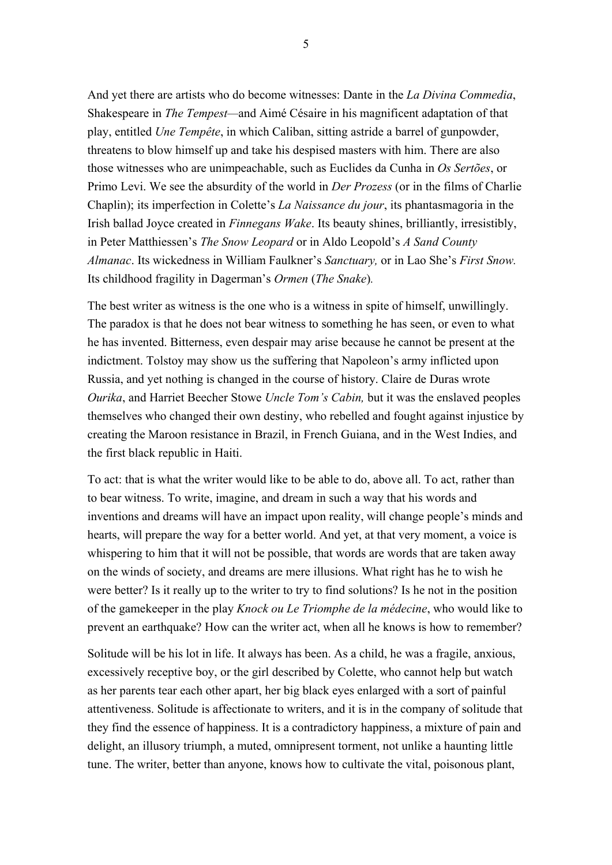And yet there are artists who do become witnesses: Dante in the *La Divina Commedia*, Shakespeare in *The Tempest—*and Aimé Césaire in his magnificent adaptation of that play, entitled *Une Tempête*, in which Caliban, sitting astride a barrel of gunpowder, threatens to blow himself up and take his despised masters with him. There are also those witnesses who are unimpeachable, such as Euclides da Cunha in *Os Sertões*, or Primo Levi. We see the absurdity of the world in *Der Prozess* (or in the films of Charlie Chaplin); its imperfection in Colette's *La Naissance du jour*, its phantasmagoria in the Irish ballad Joyce created in *Finnegans Wake*. Its beauty shines, brilliantly, irresistibly, in Peter Matthiessen's *The Snow Leopard* or in Aldo Leopold's *A Sand County Almanac*. Its wickedness in William Faulkner's *Sanctuary,* or in Lao She's *First Snow.*  Its childhood fragility in Dagerman's *Ormen* (*The Snake*)*.* 

The best writer as witness is the one who is a witness in spite of himself, unwillingly. The paradox is that he does not bear witness to something he has seen, or even to what he has invented. Bitterness, even despair may arise because he cannot be present at the indictment. Tolstoy may show us the suffering that Napoleon's army inflicted upon Russia, and yet nothing is changed in the course of history. Claire de Duras wrote *Ourika*, and Harriet Beecher Stowe *Uncle Tom's Cabin,* but it was the enslaved peoples themselves who changed their own destiny, who rebelled and fought against injustice by creating the Maroon resistance in Brazil, in French Guiana, and in the West Indies, and the first black republic in Haiti.

To act: that is what the writer would like to be able to do, above all. To act, rather than to bear witness. To write, imagine, and dream in such a way that his words and inventions and dreams will have an impact upon reality, will change people's minds and hearts, will prepare the way for a better world. And yet, at that very moment, a voice is whispering to him that it will not be possible, that words are words that are taken away on the winds of society, and dreams are mere illusions. What right has he to wish he were better? Is it really up to the writer to try to find solutions? Is he not in the position of the gamekeeper in the play *Knock ou Le Triomphe de la médecine*, who would like to prevent an earthquake? How can the writer act, when all he knows is how to remember?

Solitude will be his lot in life. It always has been. As a child, he was a fragile, anxious, excessively receptive boy, or the girl described by Colette, who cannot help but watch as her parents tear each other apart, her big black eyes enlarged with a sort of painful attentiveness. Solitude is affectionate to writers, and it is in the company of solitude that they find the essence of happiness. It is a contradictory happiness, a mixture of pain and delight, an illusory triumph, a muted, omnipresent torment, not unlike a haunting little tune. The writer, better than anyone, knows how to cultivate the vital, poisonous plant,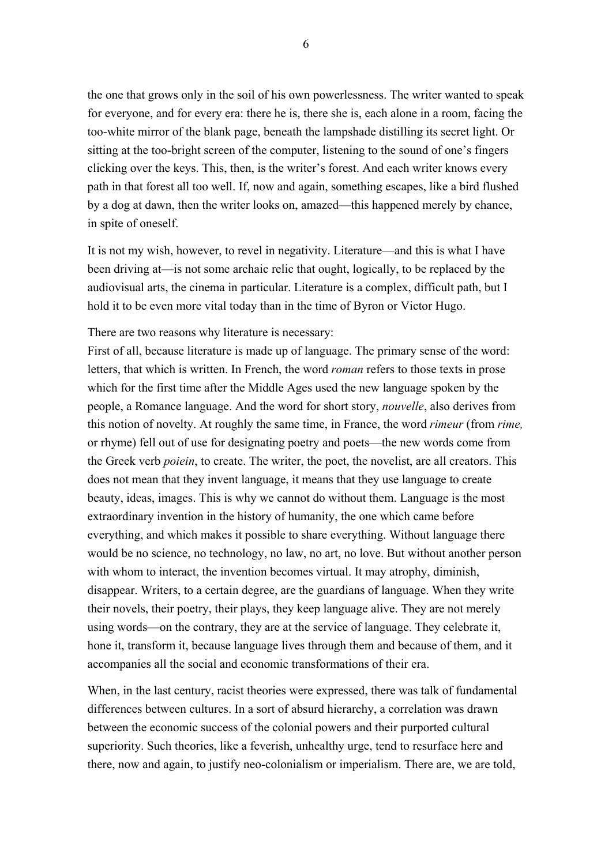the one that grows only in the soil of his own powerlessness. The writer wanted to speak for everyone, and for every era: there he is, there she is, each alone in a room, facing the too-white mirror of the blank page, beneath the lampshade distilling its secret light. Or sitting at the too-bright screen of the computer, listening to the sound of one's fingers clicking over the keys. This, then, is the writer's forest. And each writer knows every path in that forest all too well. If, now and again, something escapes, like a bird flushed by a dog at dawn, then the writer looks on, amazed—this happened merely by chance, in spite of oneself.

It is not my wish, however, to revel in negativity. Literature—and this is what I have been driving at—is not some archaic relic that ought, logically, to be replaced by the audiovisual arts, the cinema in particular. Literature is a complex, difficult path, but I hold it to be even more vital today than in the time of Byron or Victor Hugo.

There are two reasons why literature is necessary:

First of all, because literature is made up of language. The primary sense of the word: letters, that which is written. In French, the word *roman* refers to those texts in prose which for the first time after the Middle Ages used the new language spoken by the people, a Romance language. And the word for short story, *nouvelle*, also derives from this notion of novelty. At roughly the same time, in France, the word *rimeur* (from *rime,*  or rhyme) fell out of use for designating poetry and poets—the new words come from the Greek verb *poiein*, to create. The writer, the poet, the novelist, are all creators. This does not mean that they invent language, it means that they use language to create beauty, ideas, images. This is why we cannot do without them. Language is the most extraordinary invention in the history of humanity, the one which came before everything, and which makes it possible to share everything. Without language there would be no science, no technology, no law, no art, no love. But without another person with whom to interact, the invention becomes virtual. It may atrophy, diminish, disappear. Writers, to a certain degree, are the guardians of language. When they write their novels, their poetry, their plays, they keep language alive. They are not merely using words—on the contrary, they are at the service of language. They celebrate it, hone it, transform it, because language lives through them and because of them, and it accompanies all the social and economic transformations of their era.

When, in the last century, racist theories were expressed, there was talk of fundamental differences between cultures. In a sort of absurd hierarchy, a correlation was drawn between the economic success of the colonial powers and their purported cultural superiority. Such theories, like a feverish, unhealthy urge, tend to resurface here and there, now and again, to justify neo-colonialism or imperialism. There are, we are told,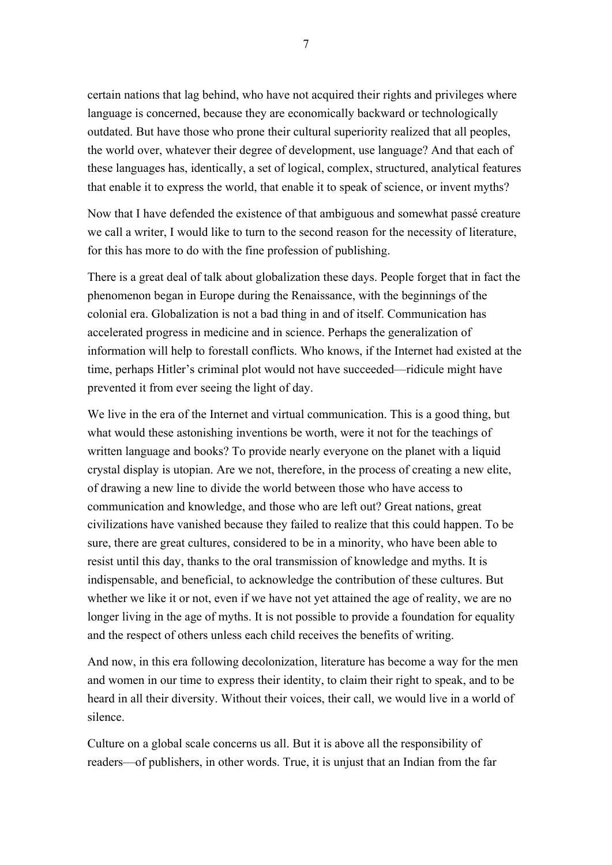certain nations that lag behind, who have not acquired their rights and privileges where language is concerned, because they are economically backward or technologically outdated. But have those who prone their cultural superiority realized that all peoples, the world over, whatever their degree of development, use language? And that each of these languages has, identically, a set of logical, complex, structured, analytical features that enable it to express the world, that enable it to speak of science, or invent myths?

Now that I have defended the existence of that ambiguous and somewhat passé creature we call a writer, I would like to turn to the second reason for the necessity of literature, for this has more to do with the fine profession of publishing.

There is a great deal of talk about globalization these days. People forget that in fact the phenomenon began in Europe during the Renaissance, with the beginnings of the colonial era. Globalization is not a bad thing in and of itself. Communication has accelerated progress in medicine and in science. Perhaps the generalization of information will help to forestall conflicts. Who knows, if the Internet had existed at the time, perhaps Hitler's criminal plot would not have succeeded—ridicule might have prevented it from ever seeing the light of day.

We live in the era of the Internet and virtual communication. This is a good thing, but what would these astonishing inventions be worth, were it not for the teachings of written language and books? To provide nearly everyone on the planet with a liquid crystal display is utopian. Are we not, therefore, in the process of creating a new elite, of drawing a new line to divide the world between those who have access to communication and knowledge, and those who are left out? Great nations, great civilizations have vanished because they failed to realize that this could happen. To be sure, there are great cultures, considered to be in a minority, who have been able to resist until this day, thanks to the oral transmission of knowledge and myths. It is indispensable, and beneficial, to acknowledge the contribution of these cultures. But whether we like it or not, even if we have not yet attained the age of reality, we are no longer living in the age of myths. It is not possible to provide a foundation for equality and the respect of others unless each child receives the benefits of writing.

And now, in this era following decolonization, literature has become a way for the men and women in our time to express their identity, to claim their right to speak, and to be heard in all their diversity. Without their voices, their call, we would live in a world of silence.

Culture on a global scale concerns us all. But it is above all the responsibility of readers—of publishers, in other words. True, it is unjust that an Indian from the far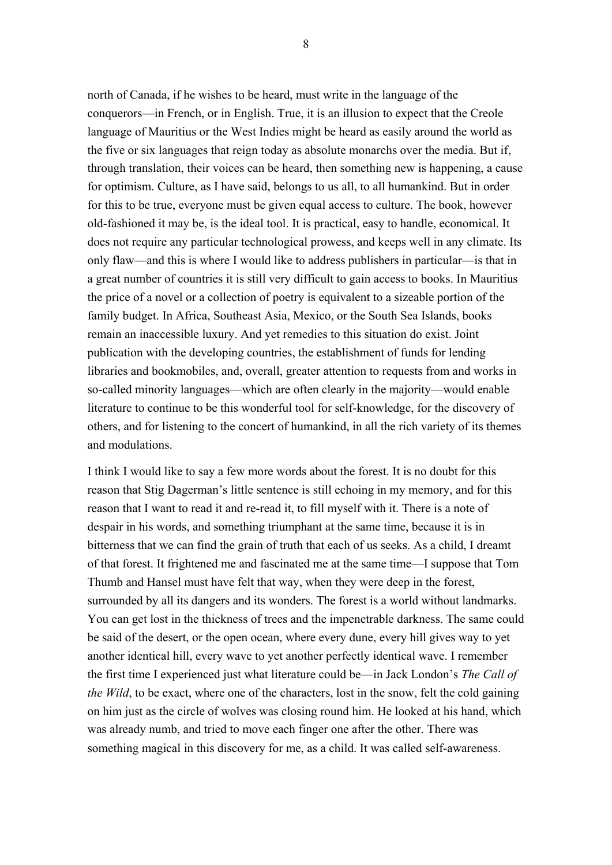north of Canada, if he wishes to be heard, must write in the language of the conquerors—in French, or in English. True, it is an illusion to expect that the Creole language of Mauritius or the West Indies might be heard as easily around the world as the five or six languages that reign today as absolute monarchs over the media. But if, through translation, their voices can be heard, then something new is happening, a cause for optimism. Culture, as I have said, belongs to us all, to all humankind. But in order for this to be true, everyone must be given equal access to culture. The book, however old-fashioned it may be, is the ideal tool. It is practical, easy to handle, economical. It does not require any particular technological prowess, and keeps well in any climate. Its only flaw—and this is where I would like to address publishers in particular—is that in a great number of countries it is still very difficult to gain access to books. In Mauritius the price of a novel or a collection of poetry is equivalent to a sizeable portion of the family budget. In Africa, Southeast Asia, Mexico, or the South Sea Islands, books remain an inaccessible luxury. And yet remedies to this situation do exist. Joint publication with the developing countries, the establishment of funds for lending libraries and bookmobiles, and, overall, greater attention to requests from and works in so-called minority languages—which are often clearly in the majority—would enable literature to continue to be this wonderful tool for self-knowledge, for the discovery of others, and for listening to the concert of humankind, in all the rich variety of its themes and modulations.

I think I would like to say a few more words about the forest. It is no doubt for this reason that Stig Dagerman's little sentence is still echoing in my memory, and for this reason that I want to read it and re-read it, to fill myself with it. There is a note of despair in his words, and something triumphant at the same time, because it is in bitterness that we can find the grain of truth that each of us seeks. As a child, I dreamt of that forest. It frightened me and fascinated me at the same time—I suppose that Tom Thumb and Hansel must have felt that way, when they were deep in the forest, surrounded by all its dangers and its wonders. The forest is a world without landmarks. You can get lost in the thickness of trees and the impenetrable darkness. The same could be said of the desert, or the open ocean, where every dune, every hill gives way to yet another identical hill, every wave to yet another perfectly identical wave. I remember the first time I experienced just what literature could be—in Jack London's *The Call of the Wild*, to be exact, where one of the characters, lost in the snow, felt the cold gaining on him just as the circle of wolves was closing round him. He looked at his hand, which was already numb, and tried to move each finger one after the other. There was something magical in this discovery for me, as a child. It was called self-awareness.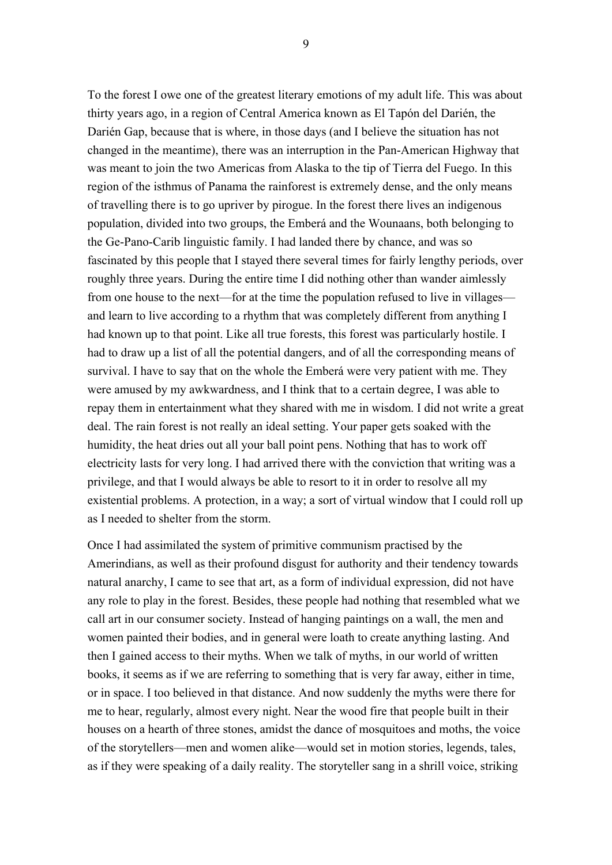To the forest I owe one of the greatest literary emotions of my adult life. This was about thirty years ago, in a region of Central America known as El Tapón del Darién, the Darién Gap, because that is where, in those days (and I believe the situation has not changed in the meantime), there was an interruption in the Pan-American Highway that was meant to join the two Americas from Alaska to the tip of Tierra del Fuego. In this region of the isthmus of Panama the rainforest is extremely dense, and the only means of travelling there is to go upriver by pirogue. In the forest there lives an indigenous population, divided into two groups, the Emberá and the Wounaans, both belonging to the Ge-Pano-Carib linguistic family. I had landed there by chance, and was so fascinated by this people that I stayed there several times for fairly lengthy periods, over roughly three years. During the entire time I did nothing other than wander aimlessly from one house to the next—for at the time the population refused to live in villages and learn to live according to a rhythm that was completely different from anything I had known up to that point. Like all true forests, this forest was particularly hostile. I had to draw up a list of all the potential dangers, and of all the corresponding means of survival. I have to say that on the whole the Emberá were very patient with me. They were amused by my awkwardness, and I think that to a certain degree, I was able to repay them in entertainment what they shared with me in wisdom. I did not write a great deal. The rain forest is not really an ideal setting. Your paper gets soaked with the humidity, the heat dries out all your ball point pens. Nothing that has to work off electricity lasts for very long. I had arrived there with the conviction that writing was a privilege, and that I would always be able to resort to it in order to resolve all my existential problems. A protection, in a way; a sort of virtual window that I could roll up as I needed to shelter from the storm.

Once I had assimilated the system of primitive communism practised by the Amerindians, as well as their profound disgust for authority and their tendency towards natural anarchy, I came to see that art, as a form of individual expression, did not have any role to play in the forest. Besides, these people had nothing that resembled what we call art in our consumer society. Instead of hanging paintings on a wall, the men and women painted their bodies, and in general were loath to create anything lasting. And then I gained access to their myths. When we talk of myths, in our world of written books, it seems as if we are referring to something that is very far away, either in time, or in space. I too believed in that distance. And now suddenly the myths were there for me to hear, regularly, almost every night. Near the wood fire that people built in their houses on a hearth of three stones, amidst the dance of mosquitoes and moths, the voice of the storytellers—men and women alike—would set in motion stories, legends, tales, as if they were speaking of a daily reality. The storyteller sang in a shrill voice, striking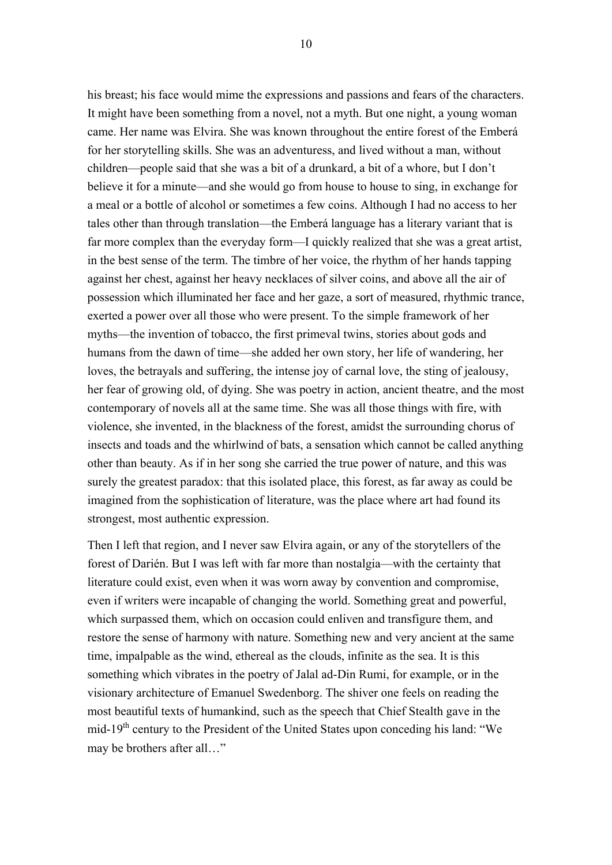his breast; his face would mime the expressions and passions and fears of the characters. It might have been something from a novel, not a myth. But one night, a young woman came. Her name was Elvira. She was known throughout the entire forest of the Emberá for her storytelling skills. She was an adventuress, and lived without a man, without children—people said that she was a bit of a drunkard, a bit of a whore, but I don't believe it for a minute—and she would go from house to house to sing, in exchange for a meal or a bottle of alcohol or sometimes a few coins. Although I had no access to her tales other than through translation—the Emberá language has a literary variant that is far more complex than the everyday form—I quickly realized that she was a great artist, in the best sense of the term. The timbre of her voice, the rhythm of her hands tapping against her chest, against her heavy necklaces of silver coins, and above all the air of possession which illuminated her face and her gaze, a sort of measured, rhythmic trance, exerted a power over all those who were present. To the simple framework of her myths—the invention of tobacco, the first primeval twins, stories about gods and humans from the dawn of time—she added her own story, her life of wandering, her loves, the betrayals and suffering, the intense joy of carnal love, the sting of jealousy, her fear of growing old, of dying. She was poetry in action, ancient theatre, and the most contemporary of novels all at the same time. She was all those things with fire, with violence, she invented, in the blackness of the forest, amidst the surrounding chorus of insects and toads and the whirlwind of bats, a sensation which cannot be called anything other than beauty. As if in her song she carried the true power of nature, and this was surely the greatest paradox: that this isolated place, this forest, as far away as could be imagined from the sophistication of literature, was the place where art had found its strongest, most authentic expression.

Then I left that region, and I never saw Elvira again, or any of the storytellers of the forest of Darién. But I was left with far more than nostalgia—with the certainty that literature could exist, even when it was worn away by convention and compromise, even if writers were incapable of changing the world. Something great and powerful, which surpassed them, which on occasion could enliven and transfigure them, and restore the sense of harmony with nature. Something new and very ancient at the same time, impalpable as the wind, ethereal as the clouds, infinite as the sea. It is this something which vibrates in the poetry of Jalal ad-Din Rumi, for example, or in the visionary architecture of Emanuel Swedenborg. The shiver one feels on reading the most beautiful texts of humankind, such as the speech that Chief Stealth gave in the mid-19<sup>th</sup> century to the President of the United States upon conceding his land: "We may be brothers after all…"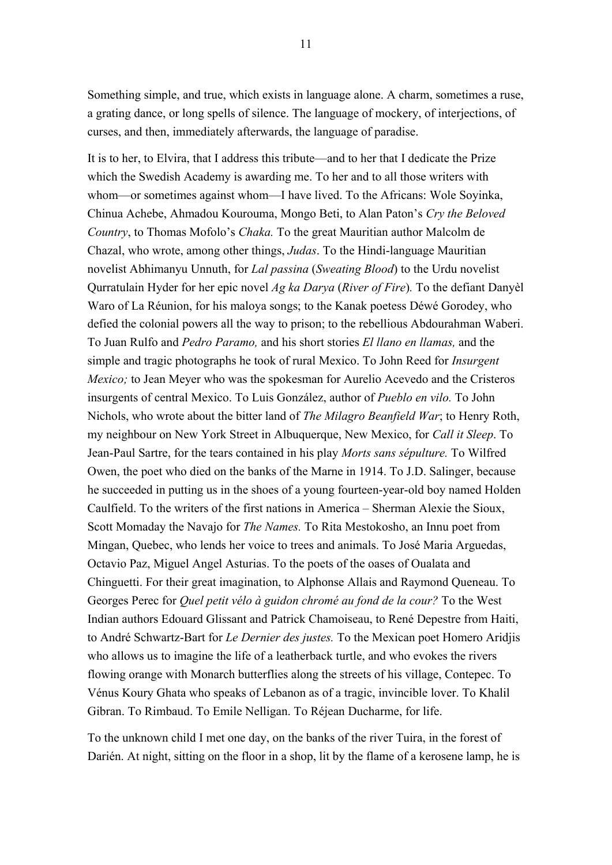Something simple, and true, which exists in language alone. A charm, sometimes a ruse, a grating dance, or long spells of silence. The language of mockery, of interjections, of curses, and then, immediately afterwards, the language of paradise.

It is to her, to Elvira, that I address this tribute—and to her that I dedicate the Prize which the Swedish Academy is awarding me. To her and to all those writers with whom—or sometimes against whom—I have lived. To the Africans: Wole Soyinka, Chinua Achebe, Ahmadou Kourouma, Mongo Beti, to Alan Paton's *Cry the Beloved Country*, to Thomas Mofolo's *Chaka.* To the great Mauritian author Malcolm de Chazal, who wrote, among other things, *Judas*. To the Hindi-language Mauritian novelist Abhimanyu Unnuth, for *Lal passina* (*Sweating Blood*) to the Urdu novelist Qurratulain Hyder for her epic novel *Ag ka Darya* (*River of Fire*)*.* To the defiant Danyèl Waro of La Réunion, for his maloya songs; to the Kanak poetess Déwé Gorodey, who defied the colonial powers all the way to prison; to the rebellious Abdourahman Waberi. To Juan Rulfo and *Pedro Paramo,* and his short stories *El llano en llamas,* and the simple and tragic photographs he took of rural Mexico. To John Reed for *Insurgent Mexico;* to Jean Meyer who was the spokesman for Aurelio Acevedo and the Cristeros insurgents of central Mexico. To Luis González, author of *Pueblo en vilo.* To John Nichols, who wrote about the bitter land of *The Milagro Beanfield War*; to Henry Roth, my neighbour on New York Street in Albuquerque, New Mexico, for *Call it Sleep*. To Jean-Paul Sartre, for the tears contained in his play *Morts sans sépulture.* To Wilfred Owen, the poet who died on the banks of the Marne in 1914. To J.D. Salinger, because he succeeded in putting us in the shoes of a young fourteen-year-old boy named Holden Caulfield. To the writers of the first nations in America – Sherman Alexie the Sioux, Scott Momaday the Navajo for *The Names.* To Rita Mestokosho, an Innu poet from Mingan, Quebec, who lends her voice to trees and animals. To José Maria Arguedas, Octavio Paz, Miguel Angel Asturias. To the poets of the oases of Oualata and Chinguetti. For their great imagination, to Alphonse Allais and Raymond Queneau. To Georges Perec for *Quel petit vélo à guidon chromé au fond de la cour?* To the West Indian authors Edouard Glissant and Patrick Chamoiseau, to René Depestre from Haiti, to André Schwartz-Bart for *Le Dernier des justes.* To the Mexican poet Homero Aridjis who allows us to imagine the life of a leatherback turtle, and who evokes the rivers flowing orange with Monarch butterflies along the streets of his village, Contepec. To Vénus Koury Ghata who speaks of Lebanon as of a tragic, invincible lover. To Khalil Gibran. To Rimbaud. To Emile Nelligan. To Réjean Ducharme, for life.

To the unknown child I met one day, on the banks of the river Tuira, in the forest of Darién. At night, sitting on the floor in a shop, lit by the flame of a kerosene lamp, he is